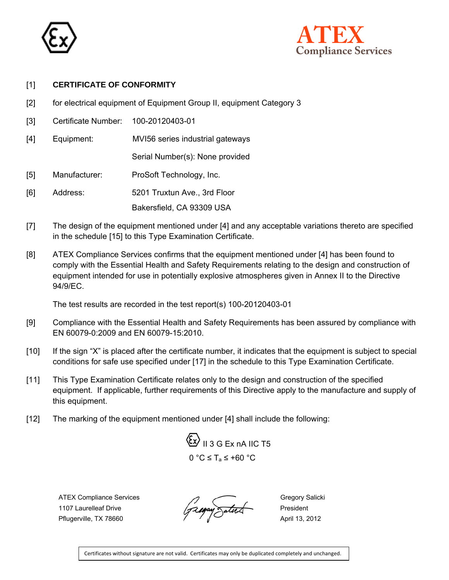



## [1] **CERTIFICATE OF CONFORMITY**

- [2] for electrical equipment of Equipment Group II, equipment Category 3
- [3] Certificate Number: 100-20120403-01
- [4] Equipment: MVI56 series industrial gateways

Serial Number(s): None provided

- [5] Manufacturer: ProSoft Technology, Inc.
- [6] Address: 5201 Truxtun Ave., 3rd Floor

Bakersfield, CA 93309 USA

- [7] The design of the equipment mentioned under [4] and any acceptable variations thereto are specified in the schedule [15] to this Type Examination Certificate.
- [8] ATEX Compliance Services confirms that the equipment mentioned under [4] has been found to comply with the Essential Health and Safety Requirements relating to the design and construction of equipment intended for use in potentially explosive atmospheres given in Annex II to the Directive 94/9/EC.

The test results are recorded in the test report(s) 100-20120403-01

- [9] Compliance with the Essential Health and Safety Requirements has been assured by compliance with EN 60079-0:2009 and EN 60079-15:2010.
- [10] If the sign "X" is placed after the certificate number, it indicates that the equipment is subject to special conditions for safe use specified under [17] in the schedule to this Type Examination Certificate.
- [11] This Type Examination Certificate relates only to the design and construction of the specified equipment. If applicable, further requirements of this Directive apply to the manufacture and supply of this equipment.
- [12] The marking of the equipment mentioned under [4] shall include the following:



ATEX Compliance Services  $\overline{a}$  Gregory Salicki The Completion Contract of the Contract of the Contract of the Contract of the Contract of the President President<br>Pflugentille TX 78660 Pflugerville, TX 78660  $\sqrt{2}$ 

Certificates without signature are not valid. Certificates may only be duplicated completely and unchanged.